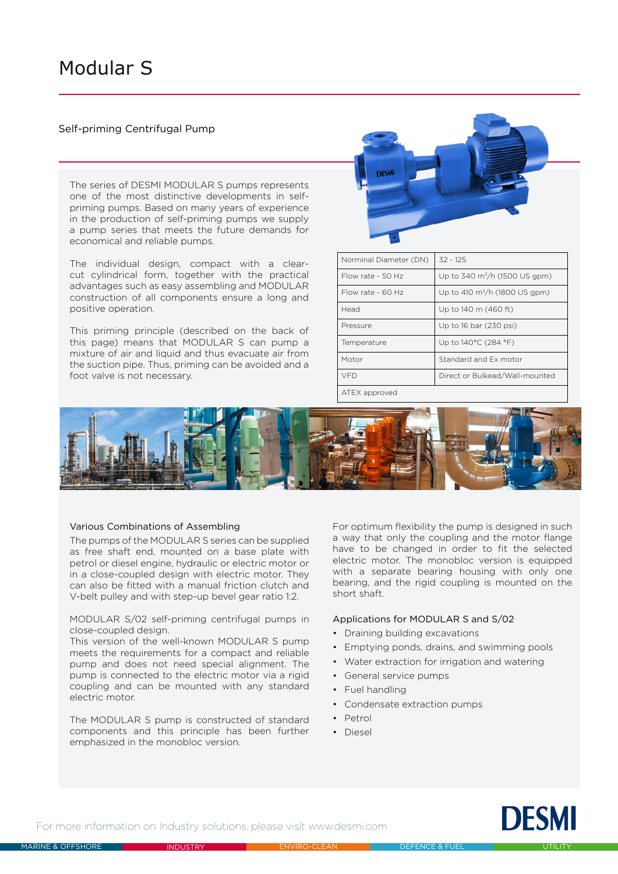# Modular S

# Self-priming Centrifugal Pump

The series of DESMI MODULAR S pumps represents one of the most distinctive developments in selfpriming pumps. Based on many years of experience in the production of self-priming pumps we supply a pump series that meets the future demands for economical and reliable pumps.

The individual design, compact with a clearcut cylindrical form, together with the practical advantages such as easy assembling and MODULAR construction of all components ensure a long and positive operation.

This priming principle (described on the back of this page) means that MODULAR S can pump a mixture of air and liquid and thus evacuate air from the suction pipe. Thus, priming can be avoided and a foot valve is not necessary.



| Norminal Diameter (DN) | $32 - 125$                          |  |
|------------------------|-------------------------------------|--|
| Flow rate - 50 Hz      | Up to 340 $\rm m^3/h$ (1500 US gpm) |  |
| Flow rate - $60$ Hz    | Up to 410 $\rm m^3/h$ (1800 US gpm) |  |
| Head                   | Up to 140 m (460 ft)                |  |
| Pressure               | Up to 16 bar (230 psi)              |  |
| Temperature            | Up to 140°C (284 °F)                |  |
| Motor                  | Standard and Ex motor               |  |
| VFD                    | Direct or Bulkead/Wall-mounted      |  |
|                        |                                     |  |

ATEX approved



## Various Combinations of Assembling

The pumps of the MODULAR S series can be supplied as free shaft end, mounted on a base plate with petrol or diesel engine, hydraulic or electric motor or in a close-coupled design with electric motor. They can also be fitted with a manual friction clutch and V-belt pulley and with step-up bevel gear ratio 1:2.

MODULAR S/02 self-priming centrifugal pumps in close-coupled design.

This version of the well-known MODULAR S pump meets the requirements for a compact and reliable pump and does not need special alignment. The pump is connected to the electric motor via a rigid coupling and can be mounted with any standard electric motor.

The MODULAR S pump is constructed of standard components and this principle has been further emphasized in the monobloc version.

For optimum flexibility the pump is designed in such a way that only the coupling and the motor flange have to be changed in order to fit the selected electric motor. The monobloc version is equipped with a separate bearing housing with only one bearing, and the rigid coupling is mounted on the short shaft.

#### Applications for MODULAR S and S/02

- Draining building excavations
- Emptying ponds, drains, and swimming pools
- Water extraction for irrigation and watering
- General service pumps
- Fuel handling
- Condensate extraction pumps
- Petrol
- Diesel